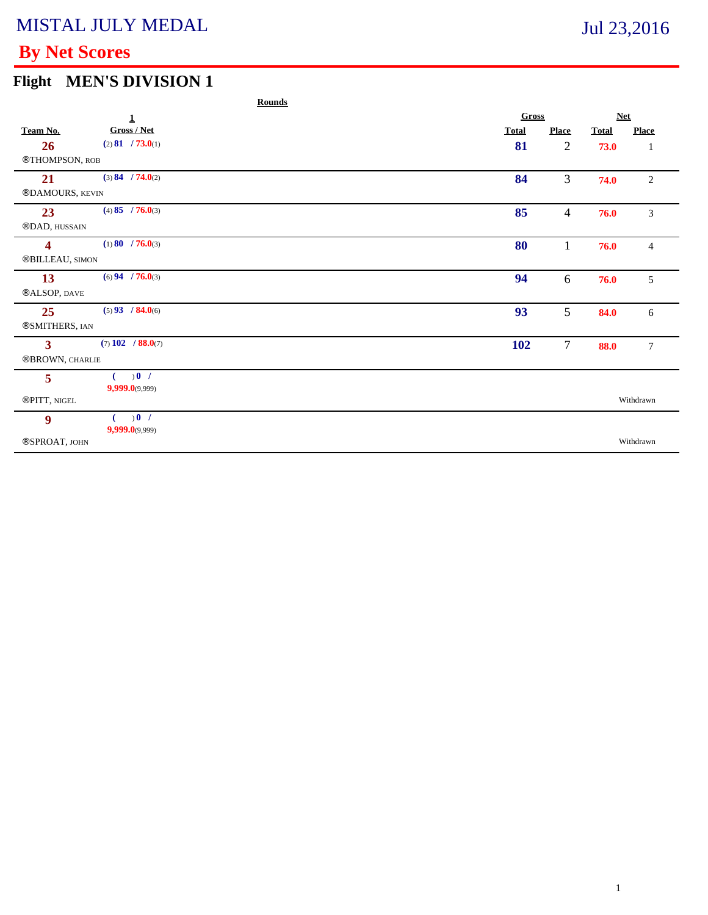# **By Net Scores**

# **Flight MEN'S DIVISION 1**

|                         |                     | <b>Rounds</b> |              |                |              |                  |
|-------------------------|---------------------|---------------|--------------|----------------|--------------|------------------|
|                         | $\mathbf{1}$        |               | Gross        | <b>Net</b>     |              |                  |
| Team No.                | Gross / Net         |               | <b>Total</b> | <b>Place</b>   | <b>Total</b> | <b>Place</b>     |
| 26                      | (2) 81 / 73.0(1)    |               | 81           | $\overline{2}$ | 73.0         | $\mathbf{1}$     |
| ®THOMPSON, ROB          |                     |               |              |                |              |                  |
| 21                      | (3) 84 / 74.0(2)    |               | 84           | 3              | 74.0         | $\overline{c}$   |
| ®DAMOURS, KEVIN         |                     |               |              |                |              |                  |
| 23                      | $(4)$ 85 / 76.0(3)  |               | 85           | $\overline{4}$ | 76.0         | 3                |
| ®DAD, HUSSAIN           |                     |               |              |                |              |                  |
| $\overline{\mathbf{4}}$ | $(1) 80$ / 76.0(3)  |               | 80           | 1              | 76.0         | $\overline{4}$   |
| ®BILLEAU, SIMON         |                     |               |              |                |              |                  |
| 13                      | $(6)$ 94 / 76.0(3)  |               | 94           | 6              | 76.0         | 5                |
| ®ALSOP, DAVE            |                     |               |              |                |              |                  |
| 25                      | $(5)$ 93 / 84.0(6)  |               | 93           | 5              | 84.0         | 6                |
| ®SMITHERS, IAN          |                     |               |              |                |              |                  |
| $\overline{\mathbf{3}}$ | $(7)$ 102 / 88.0(7) |               | <b>102</b>   | $\overline{7}$ | 88.0         | $\boldsymbol{7}$ |
| ®BROWN, CHARLIE         |                     |               |              |                |              |                  |
| 5                       | 0 <sup>1</sup>      |               |              |                |              |                  |
|                         | 9,999.0(9,999)      |               |              |                |              |                  |
| ®PITT, NIGEL            |                     |               |              |                |              | Withdrawn        |
| 9                       | 0 <sup>1</sup>      |               |              |                |              |                  |
| ®SPROAT, JOHN           | $9,999.0$ (9,999)   |               |              |                |              | Withdrawn        |
|                         |                     |               |              |                |              |                  |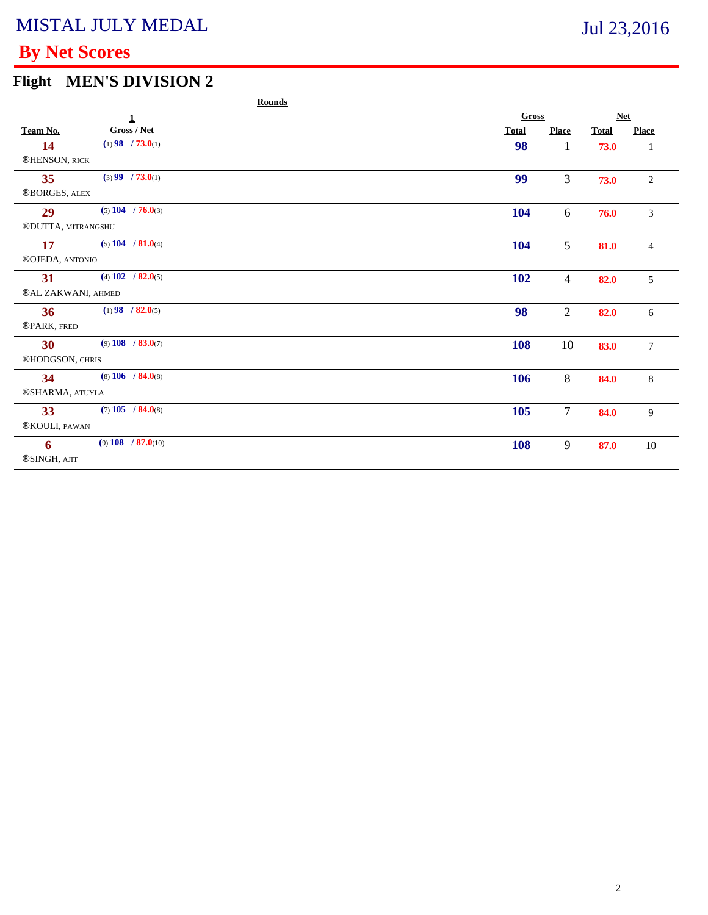# **By Net Scores**

# **Flight MEN'S DIVISION 2**

|                            |                        | <b>Rounds</b> |  |              |                |              |                |
|----------------------------|------------------------|---------------|--|--------------|----------------|--------------|----------------|
|                            | $\mathbf 1$            |               |  | Gross        |                | <b>Net</b>   |                |
| Team No.                   | Gross / Net            |               |  | <b>Total</b> | <b>Place</b>   | <b>Total</b> | <b>Place</b>   |
| 14                         | $(1)$ 98 / 73.0(1)     |               |  | 98           | $\bf{l}$       | 73.0         | -1             |
| <b>®HENSON</b> , RICK      |                        |               |  |              |                |              |                |
| 35                         | $(3)$ 99 / 73.0(1)     |               |  | 99           | 3              | 73.0         | $\sqrt{2}$     |
| <b>®BORGES, ALEX</b>       |                        |               |  |              |                |              |                |
| 29                         | $(5)$ 104 / 76.0(3)    |               |  | 104          | 6              | 76.0         | 3              |
| ®DUTTA, MITRANGSHU         |                        |               |  |              |                |              |                |
| 17                         | $(5)$ 104 / 81.0(4)    |               |  | 104          | 5              | 81.0         | $\overline{4}$ |
| ®OJEDA, ANTONIO            |                        |               |  |              |                |              |                |
| 31                         | (4) $102 / 82.0(5)$    |               |  | 102          | 4              | 82.0         | 5              |
| <b>®AL ZAKWANI</b> , AHMED |                        |               |  |              |                |              |                |
| 36                         | $(1)$ 98 / 82.0(5)     |               |  | 98           | $\overline{c}$ | 82.0         | 6              |
| ®PARK, FRED                |                        |               |  |              |                |              |                |
| 30                         | $(9)$ 108 / 83.0(7)    |               |  | 108          | 10             | 83.0         | $\overline{7}$ |
| ®HODGSON, CHRIS            |                        |               |  |              |                |              |                |
| 34                         | $(8)$ 106 / 84.0 $(8)$ |               |  | 106          | 8              | 84.0         | $\,8\,$        |
| ®SHARMA, ATUYLA            |                        |               |  |              |                |              |                |
| 33                         | $(7)$ 105 / 84.0(8)    |               |  | 105          | 7              | 84.0         | 9              |
|                            |                        |               |  |              |                |              |                |

| 33            | $(7)$ 105 / 84.0(8)  | <b>105</b> | $\overline{\phantom{0}}$ | 84.0 |    |
|---------------|----------------------|------------|--------------------------|------|----|
| ®KOULI, PAWAN |                      |            |                          |      |    |
|               |                      |            |                          |      |    |
|               | $(9)$ 108 / 87.0(10) | 108        |                          | 87.0 | 10 |